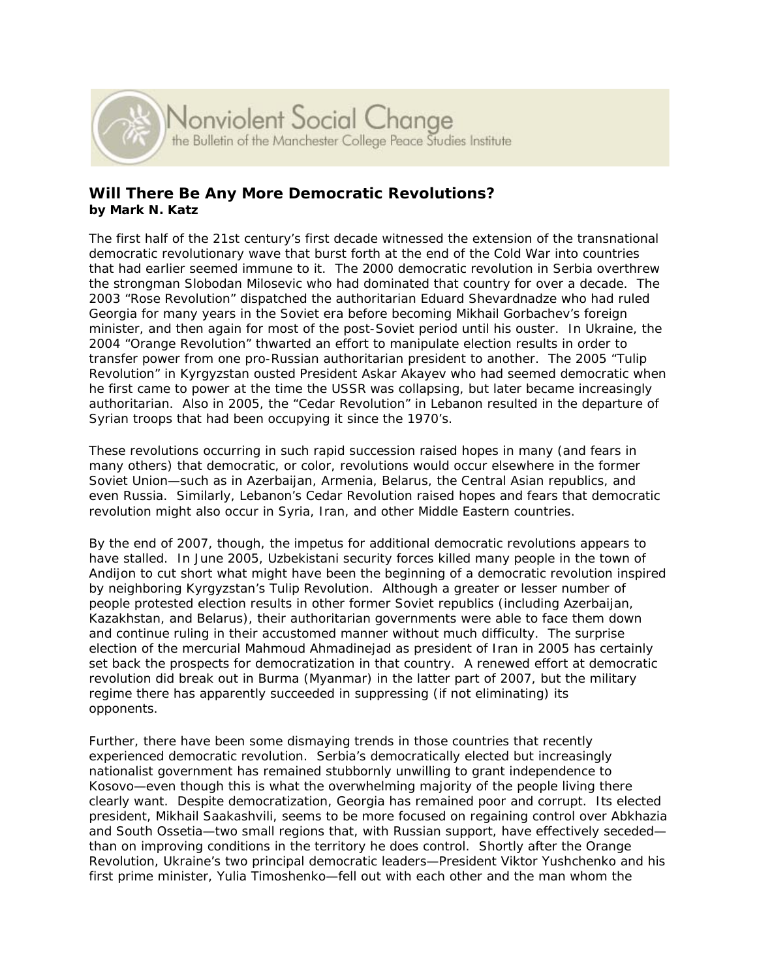

# **Will There Be Any More Democratic Revolutions? by Mark N. Katz**

The first half of the 21st century's first decade witnessed the extension of the transnational democratic revolutionary wave that burst forth at the end of the Cold War into countries that had earlier seemed immune to it. The 2000 democratic revolution in Serbia overthrew the strongman Slobodan Milosevic who had dominated that country for over a decade. The 2003 "Rose Revolution" dispatched the authoritarian Eduard Shevardnadze who had ruled Georgia for many years in the Soviet era before becoming Mikhail Gorbachev's foreign minister, and then again for most of the post-Soviet period until his ouster. In Ukraine, the 2004 "Orange Revolution" thwarted an effort to manipulate election results in order to transfer power from one pro-Russian authoritarian president to another. The 2005 "Tulip Revolution" in Kyrgyzstan ousted President Askar Akayev who had seemed democratic when he first came to power at the time the USSR was collapsing, but later became increasingly authoritarian. Also in 2005, the "Cedar Revolution" in Lebanon resulted in the departure of Syrian troops that had been occupying it since the 1970's.

These revolutions occurring in such rapid succession raised hopes in many (and fears in many others) that democratic, or color, revolutions would occur elsewhere in the former Soviet Union—such as in Azerbaijan, Armenia, Belarus, the Central Asian republics, and even Russia. Similarly, Lebanon's Cedar Revolution raised hopes and fears that democratic revolution might also occur in Syria, Iran, and other Middle Eastern countries.

By the end of 2007, though, the impetus for additional democratic revolutions appears to have stalled. In June 2005, Uzbekistani security forces killed many people in the town of Andijon to cut short what might have been the beginning of a democratic revolution inspired by neighboring Kyrgyzstan's Tulip Revolution. Although a greater or lesser number of people protested election results in other former Soviet republics (including Azerbaijan, Kazakhstan, and Belarus), their authoritarian governments were able to face them down and continue ruling in their accustomed manner without much difficulty. The surprise election of the mercurial Mahmoud Ahmadinejad as president of Iran in 2005 has certainly set back the prospects for democratization in that country. A renewed effort at democratic revolution did break out in Burma (Myanmar) in the latter part of 2007, but the military regime there has apparently succeeded in suppressing (if not eliminating) its opponents.

Further, there have been some dismaying trends in those countries that recently experienced democratic revolution. Serbia's democratically elected but increasingly nationalist government has remained stubbornly unwilling to grant independence to Kosovo—even though this is what the overwhelming majority of the people living there clearly want. Despite democratization, Georgia has remained poor and corrupt. Its elected president, Mikhail Saakashvili, seems to be more focused on regaining control over Abkhazia and South Ossetia—two small regions that, with Russian support, have effectively seceded than on improving conditions in the territory he does control. Shortly after the Orange Revolution, Ukraine's two principal democratic leaders—President Viktor Yushchenko and his first prime minister, Yulia Timoshenko—fell out with each other and the man whom the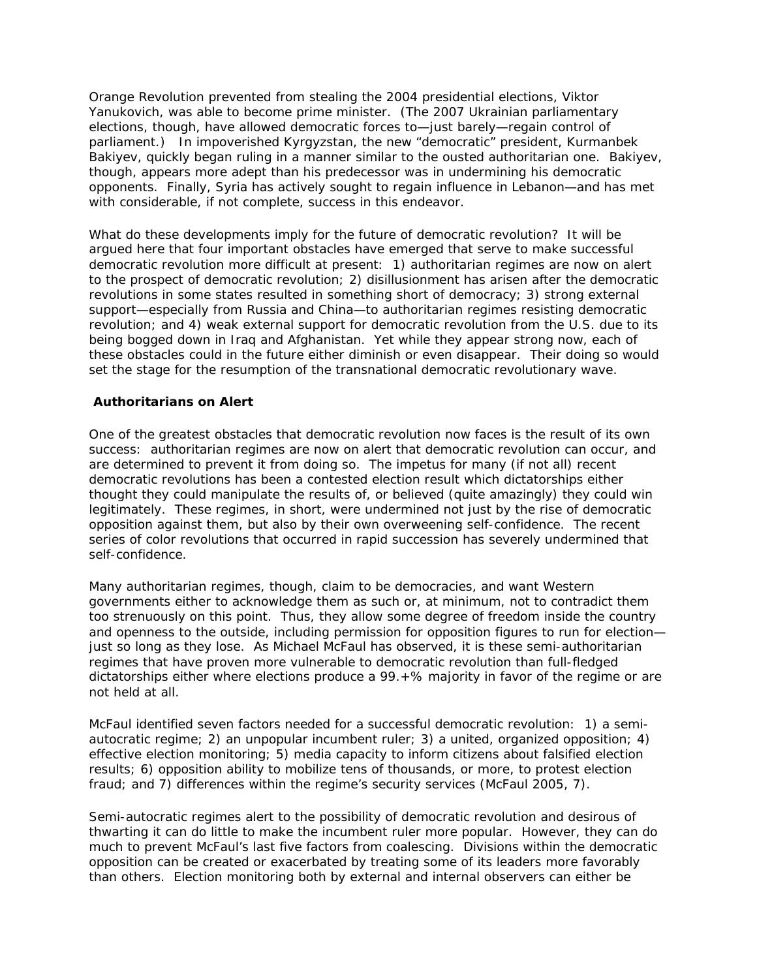Orange Revolution prevented from stealing the 2004 presidential elections, Viktor Yanukovich, was able to become prime minister. (The 2007 Ukrainian parliamentary elections, though, have allowed democratic forces to—just barely—regain control of parliament.) In impoverished Kyrgyzstan, the new "democratic" president, Kurmanbek Bakiyev, quickly began ruling in a manner similar to the ousted authoritarian one. Bakiyev, though, appears more adept than his predecessor was in undermining his democratic opponents. Finally, Syria has actively sought to regain influence in Lebanon—and has met with considerable, if not complete, success in this endeavor.

What do these developments imply for the future of democratic revolution? It will be argued here that four important obstacles have emerged that serve to make successful democratic revolution more difficult at present: 1) authoritarian regimes are now on alert to the prospect of democratic revolution; 2) disillusionment has arisen after the democratic revolutions in some states resulted in something short of democracy; 3) strong external support—especially from Russia and China—to authoritarian regimes resisting democratic revolution; and 4) weak external support for democratic revolution from the U.S. due to its being bogged down in Iraq and Afghanistan. Yet while they appear strong now, each of these obstacles could in the future either diminish or even disappear. Their doing so would set the stage for the resumption of the transnational democratic revolutionary wave.

# **Authoritarians on Alert**

One of the greatest obstacles that democratic revolution now faces is the result of its own success: authoritarian regimes are now on alert that democratic revolution can occur, and are determined to prevent it from doing so. The impetus for many (if not all) recent democratic revolutions has been a contested election result which dictatorships either thought they could manipulate the results of, or believed (quite amazingly) they could win legitimately. These regimes, in short, were undermined not just by the rise of democratic opposition against them, but also by their own overweening self-confidence. The recent series of color revolutions that occurred in rapid succession has severely undermined that self-confidence.

Many authoritarian regimes, though, claim to be democracies, and want Western governments either to acknowledge them as such or, at minimum, not to contradict them too strenuously on this point. Thus, they allow some degree of freedom inside the country and openness to the outside, including permission for opposition figures to run for election just so long as they lose. As Michael McFaul has observed, it is these semi-authoritarian regimes that have proven more vulnerable to democratic revolution than full-fledged dictatorships either where elections produce a 99.+% majority in favor of the regime or are not held at all.

McFaul identified seven factors needed for a successful democratic revolution: 1) a semiautocratic regime; 2) an unpopular incumbent ruler; 3) a united, organized opposition; 4) effective election monitoring; 5) media capacity to inform citizens about falsified election results; 6) opposition ability to mobilize tens of thousands, or more, to protest election fraud; and 7) differences within the regime's security services (McFaul 2005, 7).

Semi-autocratic regimes alert to the possibility of democratic revolution and desirous of thwarting it can do little to make the incumbent ruler more popular. However, they can do much to prevent McFaul's last five factors from coalescing. Divisions within the democratic opposition can be created or exacerbated by treating some of its leaders more favorably than others. Election monitoring both by external and internal observers can either be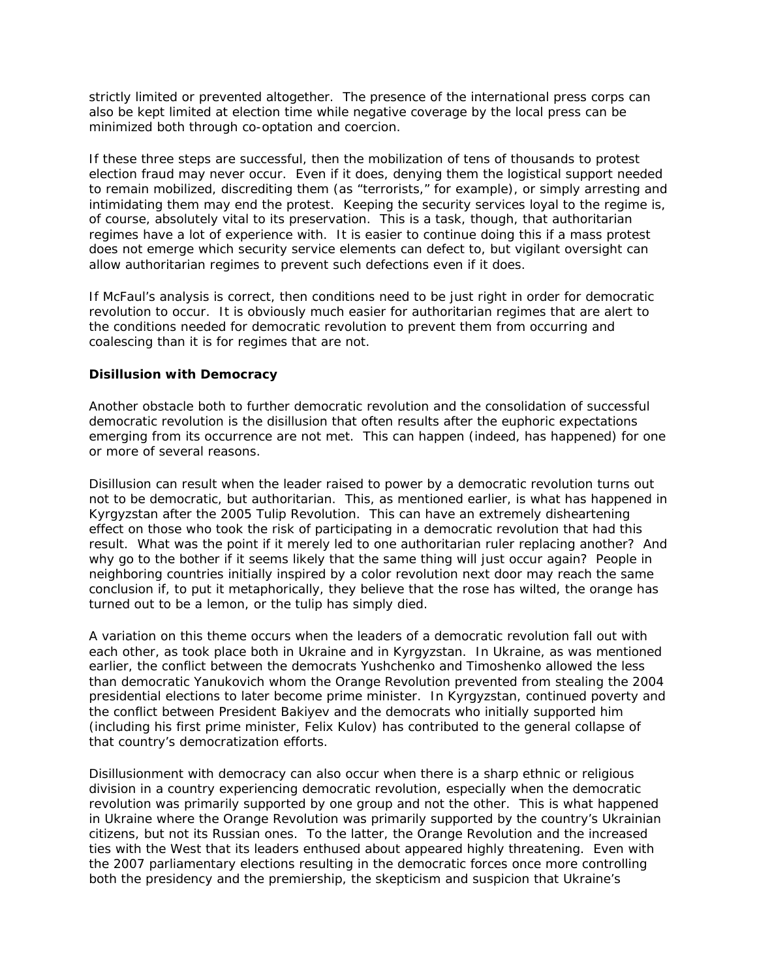strictly limited or prevented altogether. The presence of the international press corps can also be kept limited at election time while negative coverage by the local press can be minimized both through co-optation and coercion.

If these three steps are successful, then the mobilization of tens of thousands to protest election fraud may never occur. Even if it does, denying them the logistical support needed to remain mobilized, discrediting them (as "terrorists," for example), or simply arresting and intimidating them may end the protest. Keeping the security services loyal to the regime is, of course, absolutely vital to its preservation. This is a task, though, that authoritarian regimes have a lot of experience with. It is easier to continue doing this if a mass protest does not emerge which security service elements can defect to, but vigilant oversight can allow authoritarian regimes to prevent such defections even if it does.

If McFaul's analysis is correct, then conditions need to be just right in order for democratic revolution to occur. It is obviously much easier for authoritarian regimes that are alert to the conditions needed for democratic revolution to prevent them from occurring and coalescing than it is for regimes that are not.

#### **Disillusion with Democracy**

Another obstacle both to further democratic revolution and the consolidation of successful democratic revolution is the disillusion that often results after the euphoric expectations emerging from its occurrence are not met. This can happen (indeed, has happened) for one or more of several reasons.

Disillusion can result when the leader raised to power by a democratic revolution turns out not to be democratic, but authoritarian. This, as mentioned earlier, is what has happened in Kyrgyzstan after the 2005 Tulip Revolution. This can have an extremely disheartening effect on those who took the risk of participating in a democratic revolution that had this result. What was the point if it merely led to one authoritarian ruler replacing another? And why go to the bother if it seems likely that the same thing will just occur again? People in neighboring countries initially inspired by a color revolution next door may reach the same conclusion if, to put it metaphorically, they believe that the rose has wilted, the orange has turned out to be a lemon, or the tulip has simply died.

A variation on this theme occurs when the leaders of a democratic revolution fall out with each other, as took place both in Ukraine and in Kyrgyzstan. In Ukraine, as was mentioned earlier, the conflict between the democrats Yushchenko and Timoshenko allowed the less than democratic Yanukovich whom the Orange Revolution prevented from stealing the 2004 presidential elections to later become prime minister. In Kyrgyzstan, continued poverty and the conflict between President Bakiyev and the democrats who initially supported him (including his first prime minister, Felix Kulov) has contributed to the general collapse of that country's democratization efforts.

Disillusionment with democracy can also occur when there is a sharp ethnic or religious division in a country experiencing democratic revolution, especially when the democratic revolution was primarily supported by one group and not the other. This is what happened in Ukraine where the Orange Revolution was primarily supported by the country's Ukrainian citizens, but not its Russian ones. To the latter, the Orange Revolution and the increased ties with the West that its leaders enthused about appeared highly threatening. Even with the 2007 parliamentary elections resulting in the democratic forces once more controlling both the presidency and the premiership, the skepticism and suspicion that Ukraine's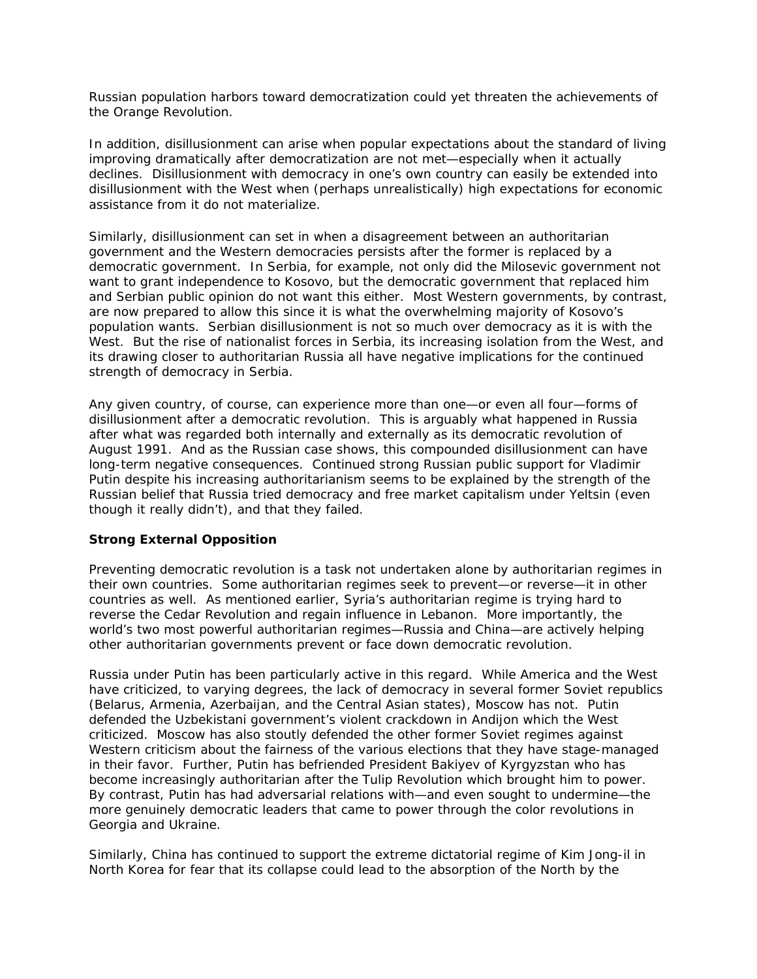Russian population harbors toward democratization could yet threaten the achievements of the Orange Revolution.

In addition, disillusionment can arise when popular expectations about the standard of living improving dramatically after democratization are not met—especially when it actually declines. Disillusionment with democracy in one's own country can easily be extended into disillusionment with the West when (perhaps unrealistically) high expectations for economic assistance from it do not materialize.

Similarly, disillusionment can set in when a disagreement between an authoritarian government and the Western democracies persists after the former is replaced by a democratic government. In Serbia, for example, not only did the Milosevic government not want to grant independence to Kosovo, but the democratic government that replaced him and Serbian public opinion do not want this either. Most Western governments, by contrast, are now prepared to allow this since it is what the overwhelming majority of Kosovo's population wants. Serbian disillusionment is not so much over democracy as it is with the West. But the rise of nationalist forces in Serbia, its increasing isolation from the West, and its drawing closer to authoritarian Russia all have negative implications for the continued strength of democracy in Serbia.

Any given country, of course, can experience more than one—or even all four—forms of disillusionment after a democratic revolution. This is arguably what happened in Russia after what was regarded both internally and externally as its democratic revolution of August 1991. And as the Russian case shows, this compounded disillusionment can have long-term negative consequences. Continued strong Russian public support for Vladimir Putin despite his increasing authoritarianism seems to be explained by the strength of the Russian belief that Russia tried democracy and free market capitalism under Yeltsin (even though it really didn't), and that they failed.

# **Strong External Opposition**

Preventing democratic revolution is a task not undertaken alone by authoritarian regimes in their own countries. Some authoritarian regimes seek to prevent—or reverse—it in other countries as well. As mentioned earlier, Syria's authoritarian regime is trying hard to reverse the Cedar Revolution and regain influence in Lebanon. More importantly, the world's two most powerful authoritarian regimes—Russia and China—are actively helping other authoritarian governments prevent or face down democratic revolution.

Russia under Putin has been particularly active in this regard. While America and the West have criticized, to varying degrees, the lack of democracy in several former Soviet republics (Belarus, Armenia, Azerbaijan, and the Central Asian states), Moscow has not. Putin defended the Uzbekistani government's violent crackdown in Andijon which the West criticized. Moscow has also stoutly defended the other former Soviet regimes against Western criticism about the fairness of the various elections that they have stage-managed in their favor. Further, Putin has befriended President Bakiyev of Kyrgyzstan who has become increasingly authoritarian after the Tulip Revolution which brought him to power. By contrast, Putin has had adversarial relations with—and even sought to undermine—the more genuinely democratic leaders that came to power through the color revolutions in Georgia and Ukraine.

Similarly, China has continued to support the extreme dictatorial regime of Kim Jong-il in North Korea for fear that its collapse could lead to the absorption of the North by the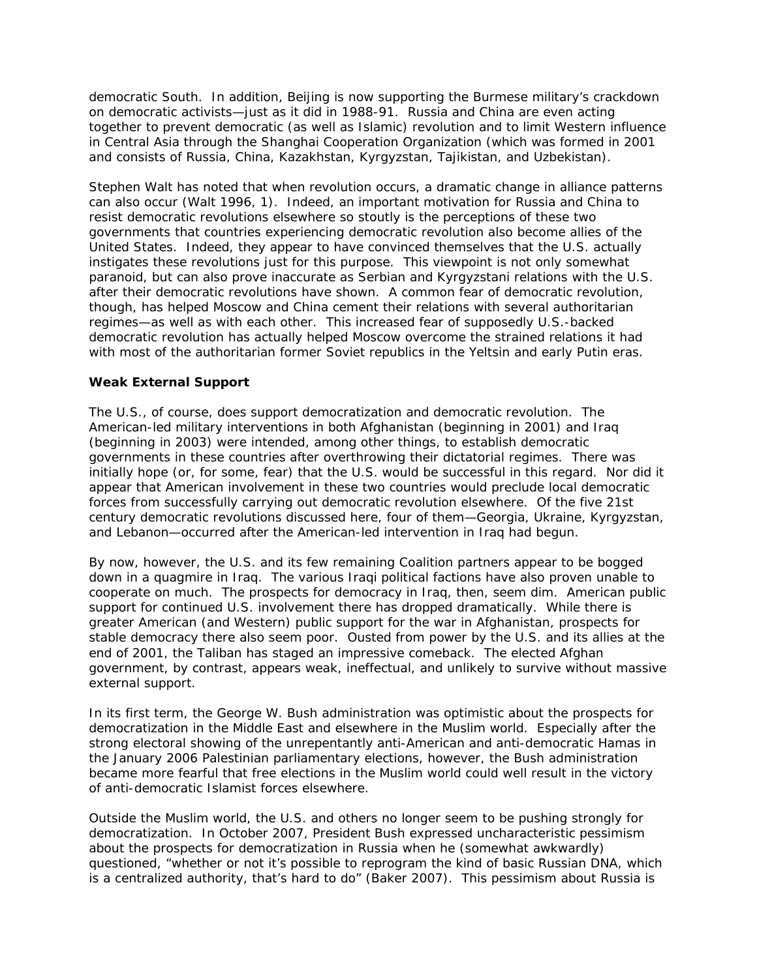democratic South. In addition, Beijing is now supporting the Burmese military's crackdown on democratic activists—just as it did in 1988-91. Russia and China are even acting together to prevent democratic (as well as Islamic) revolution and to limit Western influence in Central Asia through the Shanghai Cooperation Organization (which was formed in 2001 and consists of Russia, China, Kazakhstan, Kyrgyzstan, Tajikistan, and Uzbekistan).

Stephen Walt has noted that when revolution occurs, a dramatic change in alliance patterns can also occur (Walt 1996, 1). Indeed, an important motivation for Russia and China to resist democratic revolutions elsewhere so stoutly is the perceptions of these two governments that countries experiencing democratic revolution also become allies of the United States. Indeed, they appear to have convinced themselves that the U.S. actually instigates these revolutions just for this purpose. This viewpoint is not only somewhat paranoid, but can also prove inaccurate as Serbian and Kyrgyzstani relations with the U.S. after their democratic revolutions have shown. A common fear of democratic revolution, though, has helped Moscow and China cement their relations with several authoritarian regimes—as well as with each other. This increased fear of supposedly U.S.-backed democratic revolution has actually helped Moscow overcome the strained relations it had with most of the authoritarian former Soviet republics in the Yeltsin and early Putin eras.

# **Weak External Support**

The U.S., of course, does support democratization and democratic revolution. The American-led military interventions in both Afghanistan (beginning in 2001) and Iraq (beginning in 2003) were intended, among other things, to establish democratic governments in these countries after overthrowing their dictatorial regimes. There was initially hope (or, for some, fear) that the U.S. would be successful in this regard. Nor did it appear that American involvement in these two countries would preclude local democratic forces from successfully carrying out democratic revolution elsewhere. Of the five 21st century democratic revolutions discussed here, four of them—Georgia, Ukraine, Kyrgyzstan, and Lebanon—occurred after the American-led intervention in Iraq had begun.

By now, however, the U.S. and its few remaining Coalition partners appear to be bogged down in a quagmire in Iraq. The various Iraqi political factions have also proven unable to cooperate on much. The prospects for democracy in Iraq, then, seem dim. American public support for continued U.S. involvement there has dropped dramatically. While there is greater American (and Western) public support for the war in Afghanistan, prospects for stable democracy there also seem poor. Ousted from power by the U.S. and its allies at the end of 2001, the Taliban has staged an impressive comeback. The elected Afghan government, by contrast, appears weak, ineffectual, and unlikely to survive without massive external support.

In its first term, the George W. Bush administration was optimistic about the prospects for democratization in the Middle East and elsewhere in the Muslim world. Especially after the strong electoral showing of the unrepentantly anti-American and anti-democratic Hamas in the January 2006 Palestinian parliamentary elections, however, the Bush administration became more fearful that free elections in the Muslim world could well result in the victory of anti-democratic Islamist forces elsewhere.

Outside the Muslim world, the U.S. and others no longer seem to be pushing strongly for democratization. In October 2007, President Bush expressed uncharacteristic pessimism about the prospects for democratization in Russia when he (somewhat awkwardly) questioned, "whether or not it's possible to reprogram the kind of basic Russian DNA, which is a centralized authority, that's hard to do" (Baker 2007). This pessimism about Russia is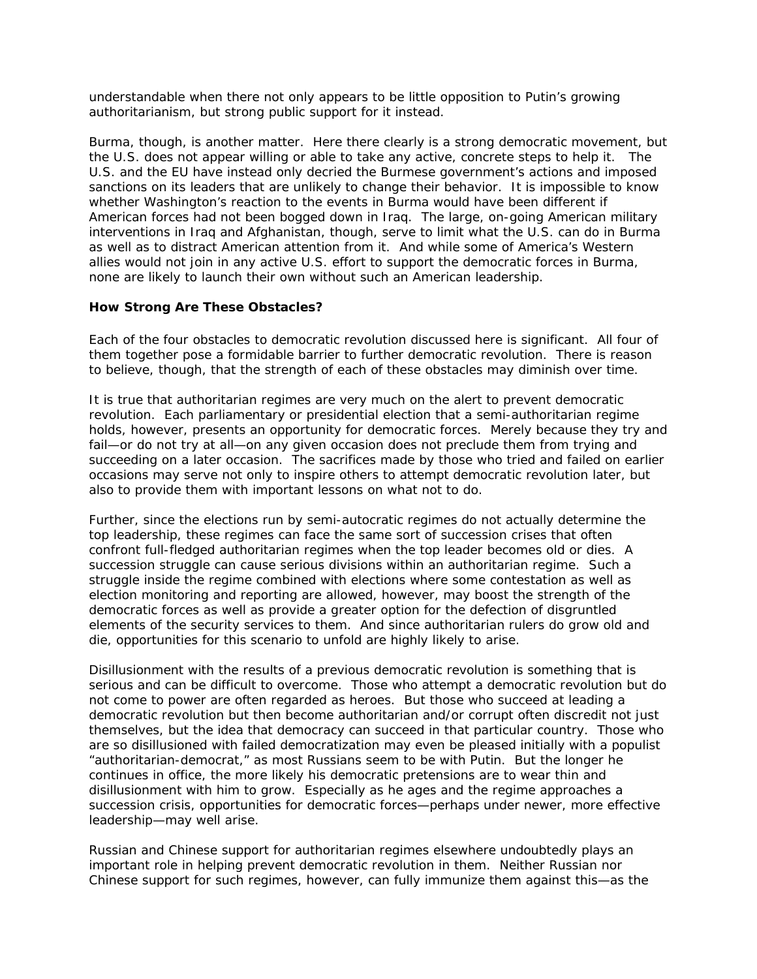understandable when there not only appears to be little opposition to Putin's growing authoritarianism, but strong public support for it instead.

Burma, though, is another matter. Here there clearly is a strong democratic movement, but the U.S. does not appear willing or able to take any active, concrete steps to help it. The U.S. and the EU have instead only decried the Burmese government's actions and imposed sanctions on its leaders that are unlikely to change their behavior. It is impossible to know whether Washington's reaction to the events in Burma would have been different if American forces had not been bogged down in Iraq. The large, on-going American military interventions in Iraq and Afghanistan, though, serve to limit what the U.S. can do in Burma as well as to distract American attention from it. And while some of America's Western allies would not join in any active U.S. effort to support the democratic forces in Burma, none are likely to launch their own without such an American leadership.

#### **How Strong Are These Obstacles?**

Each of the four obstacles to democratic revolution discussed here is significant. All four of them together pose a formidable barrier to further democratic revolution. There is reason to believe, though, that the strength of each of these obstacles may diminish over time.

It is true that authoritarian regimes are very much on the alert to prevent democratic revolution. Each parliamentary or presidential election that a semi-authoritarian regime holds, however, presents an opportunity for democratic forces. Merely because they try and fail—or do not try at all—on any given occasion does not preclude them from trying and succeeding on a later occasion. The sacrifices made by those who tried and failed on earlier occasions may serve not only to inspire others to attempt democratic revolution later, but also to provide them with important lessons on what not to do.

Further, since the elections run by semi-autocratic regimes do not actually determine the top leadership, these regimes can face the same sort of succession crises that often confront full-fledged authoritarian regimes when the top leader becomes old or dies. A succession struggle can cause serious divisions within an authoritarian regime. Such a struggle inside the regime combined with elections where some contestation as well as election monitoring and reporting are allowed, however, may boost the strength of the democratic forces as well as provide a greater option for the defection of disgruntled elements of the security services to them. And since authoritarian rulers do grow old and die, opportunities for this scenario to unfold are highly likely to arise.

Disillusionment with the results of a previous democratic revolution is something that is serious and can be difficult to overcome. Those who attempt a democratic revolution but do not come to power are often regarded as heroes. But those who succeed at leading a democratic revolution but then become authoritarian and/or corrupt often discredit not just themselves, but the idea that democracy can succeed in that particular country. Those who are so disillusioned with failed democratization may even be pleased initially with a populist "authoritarian-democrat," as most Russians seem to be with Putin. But the longer he continues in office, the more likely his democratic pretensions are to wear thin and disillusionment with him to grow. Especially as he ages and the regime approaches a succession crisis, opportunities for democratic forces—perhaps under newer, more effective leadership—may well arise.

Russian and Chinese support for authoritarian regimes elsewhere undoubtedly plays an important role in helping prevent democratic revolution in them. Neither Russian nor Chinese support for such regimes, however, can fully immunize them against this—as the